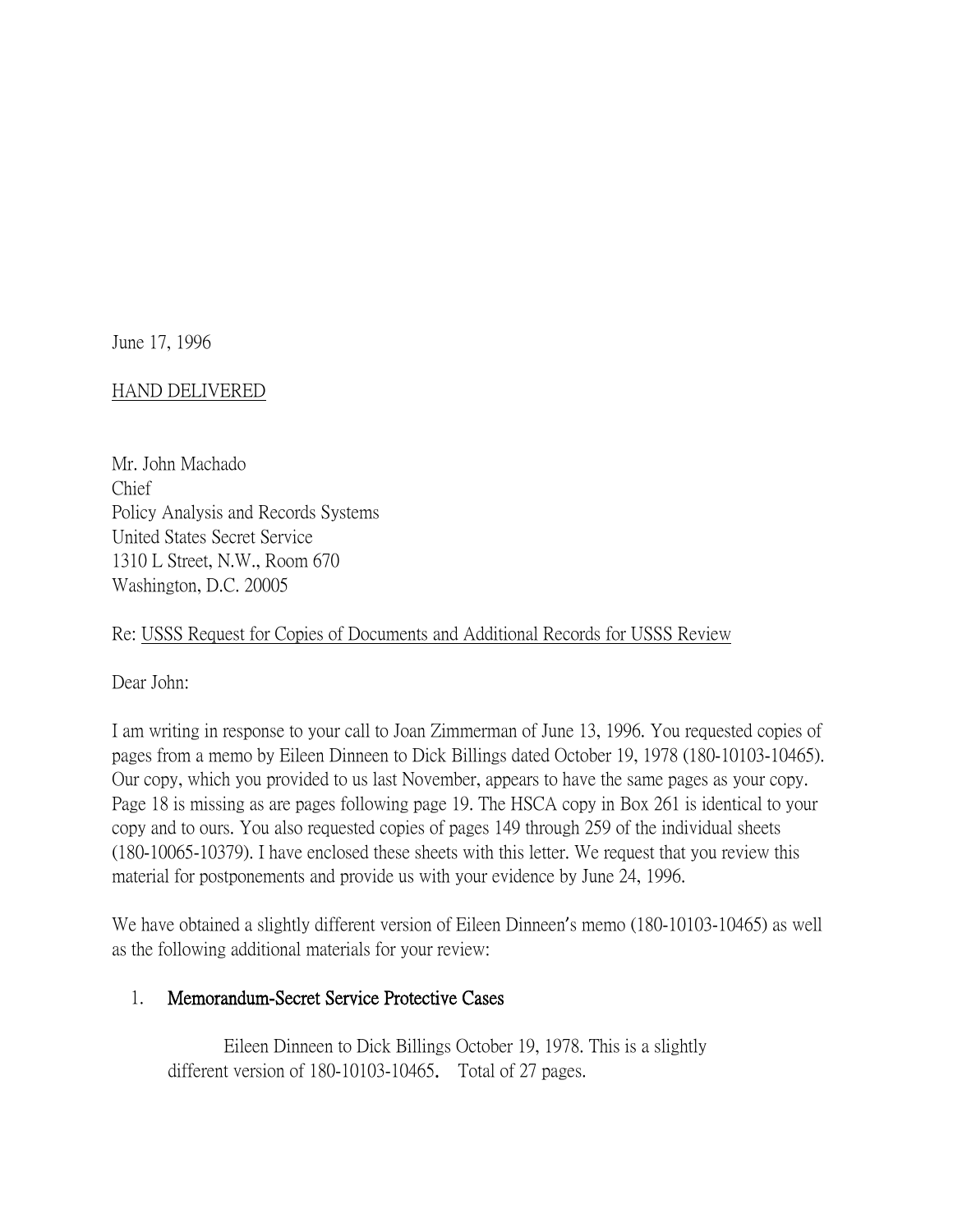June 17, 1996

# HAND DELIVERED

Mr. John Machado Chief Policy Analysis and Records Systems United States Secret Service 1310 L Street, N.W., Room 670 Washington, D.C. 20005

# Re: USSS Request for Copies of Documents and Additional Records for USSS Review

Dear John:

I am writing in response to your call to Joan Zimmerman of June 13, 1996. You requested copies of pages from a memo by Eileen Dinneen to Dick Billings dated October 19, 1978 (180-10103-10465). Our copy, which you provided to us last November, appears to have the same pages as your copy. Page 18 is missing as are pages following page 19. The HSCA copy in Box 261 is identical to your copy and to ours. You also requested copies of pages 149 through 259 of the individual sheets (180-10065-10379). I have enclosed these sheets with this letter. We request that you review this material for postponements and provide us with your evidence by June 24, 1996.

We have obtained a slightly different version of Eileen Dinneen's memo (180-10103-10465) as well as the following additional materials for your review:

# 1. Memorandum-Secret Service Protective Cases

Eileen Dinneen to Dick Billings October 19, 1978. This is a slightly different version of 180-10103-10465. Total of 27 pages.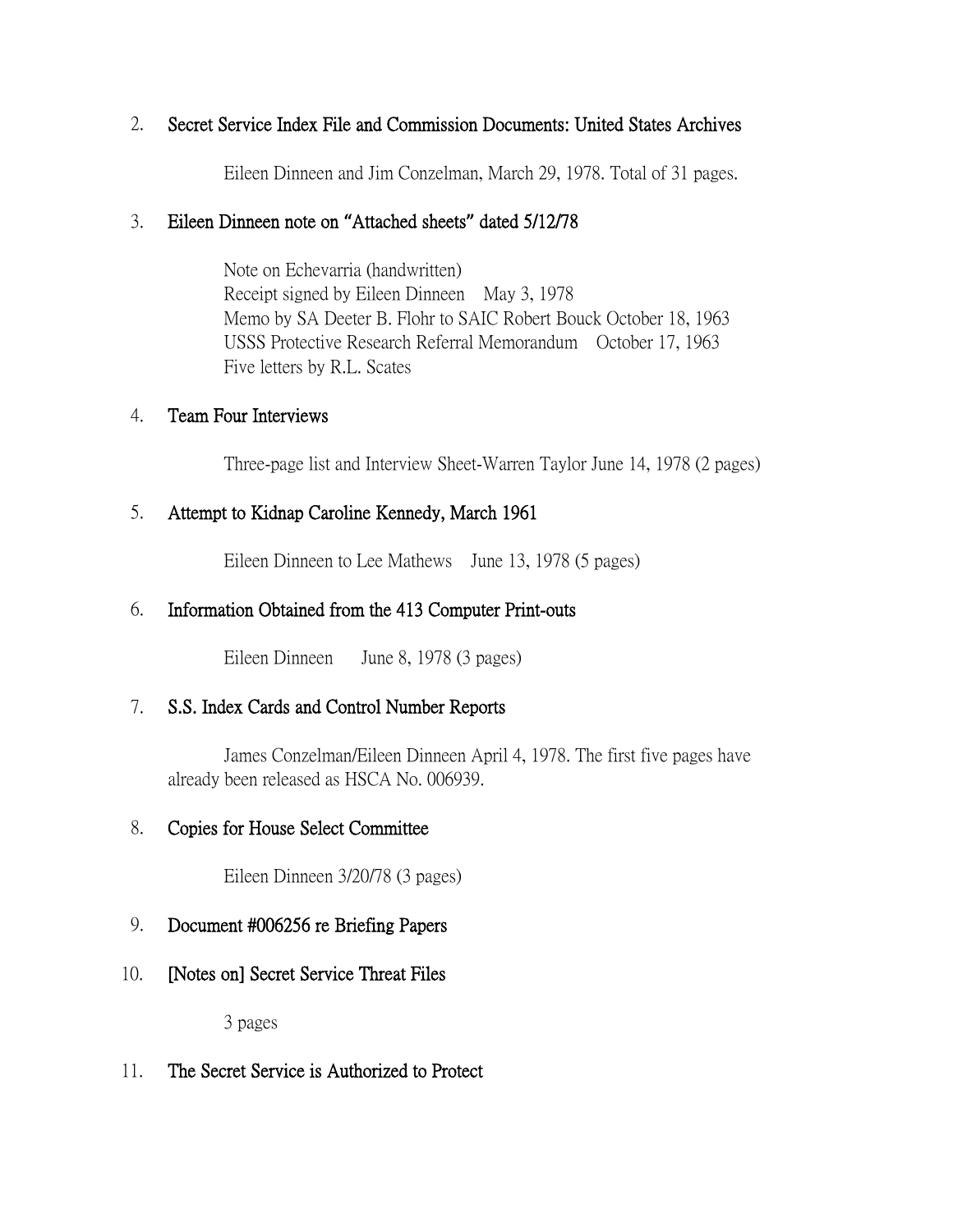# 2. Secret Service Index File and Commission Documents: United States Archives

Eileen Dinneen and Jim Conzelman, March 29, 1978. Total of 31 pages.

#### 3. Eileen Dinneen note on **"**Attached sheets**"** dated 5/12/78

Note on Echevarria (handwritten) Receipt signed by Eileen Dinneen May 3, 1978 Memo by SA Deeter B. Flohr to SAIC Robert Bouck October 18, 1963 USSS Protective Research Referral Memorandum October 17, 1963 Five letters by R.L. Scates

#### 4. Team Four Interviews

Three-page list and Interview Sheet-Warren Taylor June 14, 1978 (2 pages)

# 5. Attempt to Kidnap Caroline Kennedy, March 1961

Eileen Dinneen to Lee Mathews June 13, 1978 (5 pages)

# 6. Information Obtained from the 413 Computer Print-outs

Eileen Dinneen June 8, 1978 (3 pages)

# 7. S.S. Index Cards and Control Number Reports

James Conzelman/Eileen Dinneen April 4, 1978. The first five pages have already been released as HSCA No. 006939.

# 8. Copies for House Select Committee

Eileen Dinneen 3/20/78 (3 pages)

# 9. Document #006256 re Briefing Papers

10. [Notes on] Secret Service Threat Files

3 pages

11. The Secret Service is Authorized to Protect